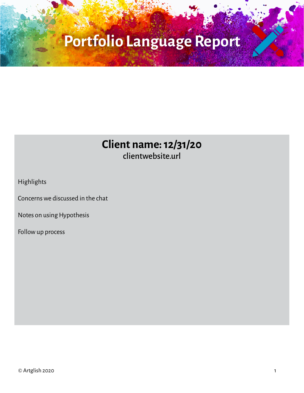### **Client name: 12/31/20** clientwebsite.url

Highlights

Concerns we discussed in the chat

Notes on using Hypothesis

Follow up process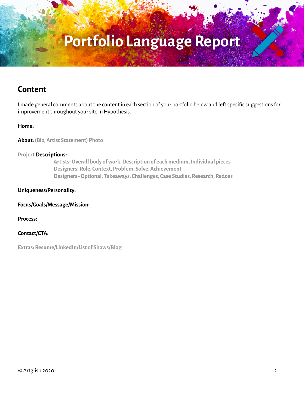#### **Content**

I made general comments about the content in each section of your portfolio below and left specific suggestions for improvement throughout your site in Hypothesis.

#### **Home:**

**About: (Bio, Artist Statement) Photo**

#### **Project Descriptions:**

 **Artists: Overall body of work, Description of each medium, Individual pieces Designers: Role, Context, Problem, Solve, Achievement Designers - Optional: Takeaways, Challenges, Case Studies, Research, Redoes**

#### **Uniqueness/Personality:**

**Focus/Goals/Message/Mission:**

**Process:**

**Contact/CTA:** 

**Extras: Resume/LinkedIn/List of Shows/Blog:**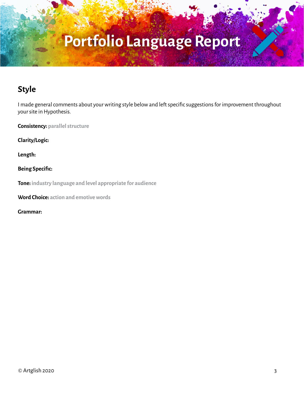### **Style**

I made general comments about your writing style below and left specific suggestions for improvement throughout your site in Hypothesis.

**Consistency: parallel structure**

**Clarity/Logic:**

**Length:**

**Being Specific:**

**Tone: industry language and level appropriate for audience**

**Word Choice: action and emotive words**

**Grammar:**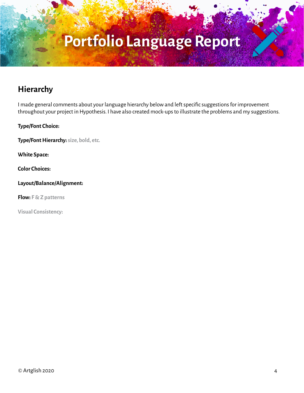### **Hierarchy**

I made general comments about your language hierarchy below and left specific suggestions for improvement throughout your project in Hypothesis. I have also created mock-ups to illustrate the problems and my suggestions.

**Type/Font Choice:** 

**Type/Font Hierarchy: size, bold, etc.**

**White Space:**

**Color Choices:**

**Layout/Balance/Alignment:**

**Flow: F & Z patterns**

**Visual Consistency:**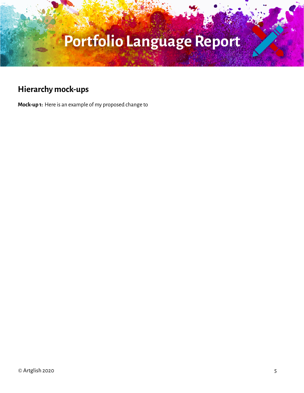### **Hierarchy mock-ups**

**Mock-up 1:** Here is an example of my proposed change to